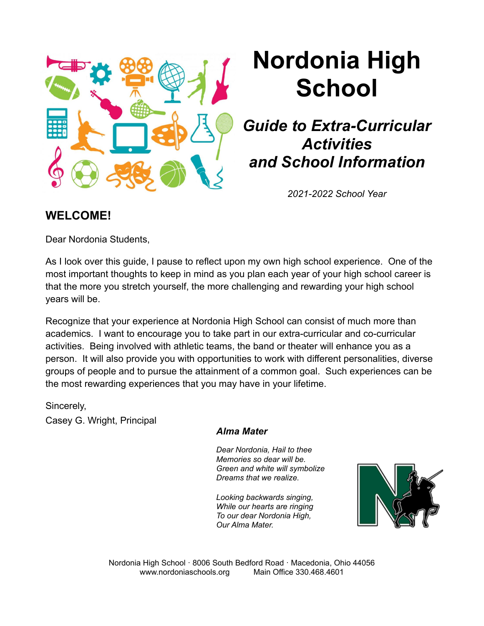

# **Nordonia High School**

## *Guide to Extra-Curricular Activities and School Information*

*2021-2022 School Year*

## **WELCOME!**

Dear Nordonia Students,

As I look over this guide, I pause to reflect upon my own high school experience. One of the most important thoughts to keep in mind as you plan each year of your high school career is that the more you stretch yourself, the more challenging and rewarding your high school years will be.

Recognize that your experience at Nordonia High School can consist of much more than academics. I want to encourage you to take part in our extra-curricular and co-curricular activities. Being involved with athletic teams, the band or theater will enhance you as a person. It will also provide you with opportunities to work with different personalities, diverse groups of people and to pursue the attainment of a common goal. Such experiences can be the most rewarding experiences that you may have in your lifetime.

Sincerely,

Casey G. Wright, Principal

## *Alma Mater*

*Dear Nordonia, Hail to thee Memories so dear will be. Green and white will symbolize Dreams that we realize.*

*Looking backwards singing, While our hearts are ringing To our dear Nordonia High, Our Alma Mater.*



Nordonia High School · 8006 South Bedford Road · Macedonia, Ohio 44056 www.nordoniaschools.org Main Office 330.468.4601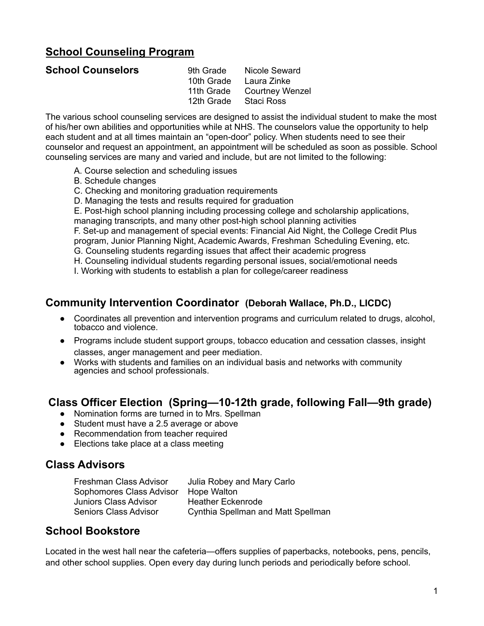## **School Counseling Program**

| <b>School Counselors</b> |                       | 9th Grade Nicole Seward    |
|--------------------------|-----------------------|----------------------------|
|                          |                       | 10th Grade Laura Zinke     |
|                          |                       | 11th Grade Courtney Wenzel |
|                          | 12th Grade Staci Ross |                            |
|                          |                       |                            |

The various school counseling services are designed to assist the individual student to make the most of his/her own abilities and opportunities while at NHS. The counselors value the opportunity to help each student and at all times maintain an "open-door" policy. When students need to see their counselor and request an appointment, an appointment will be scheduled as soon as possible. School counseling services are many and varied and include, but are not limited to the following:

- A. Course selection and scheduling issues
- B. Schedule changes
- C. Checking and monitoring graduation requirements
- D. Managing the tests and results required for graduation

E. Post-high school planning including processing college and scholarship applications,

managing transcripts, and many other post-high school planning activities

F. Set-up and management of special events: Financial Aid Night, the College Credit Plus program, Junior Planning Night, Academic Awards, Freshman Scheduling Evening, etc.

- G. Counseling students regarding issues that affect their academic progress
- H. Counseling individual students regarding personal issues, social/emotional needs

I. Working with students to establish a plan for college/career readiness

## **Community Intervention Coordinator (Deborah Wallace, Ph.D., LICDC)**

- Coordinates all prevention and intervention programs and curriculum related to drugs, alcohol, tobacco and violence.
- Programs include student support groups, tobacco education and cessation classes, insight classes, anger management and peer mediation.
- Works with students and families on an individual basis and networks with community agencies and school professionals.

## **Class Officer Election (Spring—10-12th grade, following Fall—9th grade)**

- Nomination forms are turned in to Mrs. Spellman
- Student must have a 2.5 average or above
- Recommendation from teacher required
- Elections take place at a class meeting

## **Class Advisors**

Freshman Class Advisor Julia Robey and Mary Carlo Sophomores Class Advisor Hope Walton Juniors Class Advisor **Heather Eckenrode** Seniors Class Advisor Cynthia Spellman and Matt Spellman

## **School Bookstore**

Located in the west hall near the cafeteria—offers supplies of paperbacks, notebooks, pens, pencils, and other school supplies. Open every day during lunch periods and periodically before school.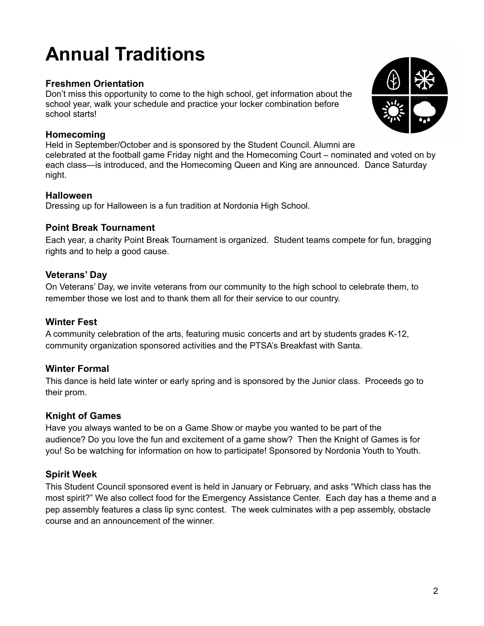## **Annual Traditions**

## **Freshmen Orientation**

Don't miss this opportunity to come to the high school, get information about the school year, walk your schedule and practice your locker combination before school starts!

#### **Homecoming**

Held in September/October and is sponsored by the Student Council. Alumni are celebrated at the football game Friday night and the Homecoming Court – nominated and voted on by each class—is introduced, and the Homecoming Queen and King are announced. Dance Saturday night.

#### **Halloween**

Dressing up for Halloween is a fun tradition at Nordonia High School.

#### **Point Break Tournament**

Each year, a charity Point Break Tournament is organized. Student teams compete for fun, bragging rights and to help a good cause.

#### **Veterans' Day**

On Veterans' Day, we invite veterans from our community to the high school to celebrate them, to remember those we lost and to thank them all for their service to our country.

#### **Winter Fest**

A community celebration of the arts, featuring music concerts and art by students grades K-12, community organization sponsored activities and the PTSA's Breakfast with Santa.

## **Winter Formal**

This dance is held late winter or early spring and is sponsored by the Junior class. Proceeds go to their prom.

## **Knight of Games**

Have you always wanted to be on a Game Show or maybe you wanted to be part of the audience? Do you love the fun and excitement of a game show? Then the Knight of Games is for you! So be watching for information on how to participate! Sponsored by Nordonia Youth to Youth.

## **Spirit Week**

This Student Council sponsored event is held in January or February, and asks "Which class has the most spirit?" We also collect food for the Emergency Assistance Center. Each day has a theme and a pep assembly features a class lip sync contest. The week culminates with a pep assembly, obstacle course and an announcement of the winner.

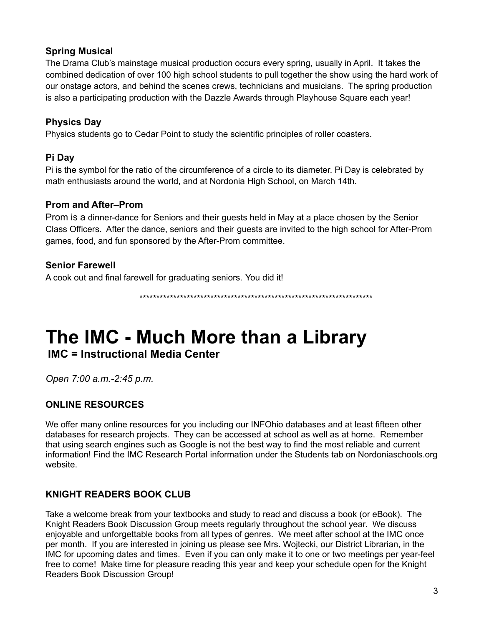## **Spring Musical**

The Drama Club's mainstage musical production occurs every spring, usually in April. It takes the combined dedication of over 100 high school students to pull together the show using the hard work of our onstage actors, and behind the scenes crews, technicians and musicians. The spring production is also a participating production with the Dazzle Awards through Playhouse Square each year!

## **Physics Day**

Physics students go to Cedar Point to study the scientific principles of roller coasters.

## **Pi Day**

Pi is the symbol for the ratio of the circumference of a circle to its diameter. Pi Day is celebrated by math enthusiasts around the world, and at Nordonia High School, on March 14th.

## **Prom and After–Prom**

Prom is a dinner-dance for Seniors and their guests held in May at a place chosen by the Senior Class Officers. After the dance, seniors and their guests are invited to the high school for After-Prom games, food, and fun sponsored by the After-Prom committee.

## **Senior Farewell**

A cook out and final farewell for graduating seniors. You did it!

\*\*\*\*\*\*\*\*\*\*\*\*\*\*\*\*\*\*\*\*\*\*\*\*\*\*\*\*\*\*\*\*\*\*\*\*\*\*\*\*\*\*\*\*\*\*\*\*\*\*\*\*\*\*\*\*\*\*\*\*\*\*\*\*\*\*\*\*\*

## **The IMC - Much More than a Library**

**IMC = Instructional Media Center**

*Open 7:00 a.m.-2:45 p.m.*

## **ONLINE RESOURCES**

We offer many online resources for you including our INFOhio databases and at least fifteen other databases for research projects. They can be accessed at school as well as at home. Remember that using search engines such as Google is not the best way to find the most reliable and current information! Find the IMC Research Portal information under the Students tab on Nordoniaschools.org website.

## **KNIGHT READERS BOOK CLUB**

Take a welcome break from your textbooks and study to read and discuss a book (or eBook). The Knight Readers Book Discussion Group meets regularly throughout the school year. We discuss enjoyable and unforgettable books from all types of genres. We meet after school at the IMC once per month. If you are interested in joining us please see Mrs. Wojtecki, our District Librarian, in the IMC for upcoming dates and times. Even if you can only make it to one or two meetings per year-feel free to come! Make time for pleasure reading this year and keep your schedule open for the Knight Readers Book Discussion Group!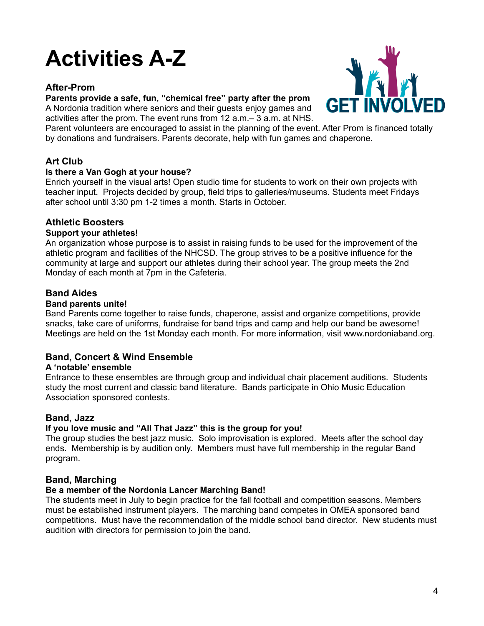## **Activities A-Z**

#### **After-Prom**

#### **Parents provide a safe, fun, "chemical free" party after the prom**

A Nordonia tradition where seniors and their guests enjoy games and activities after the prom. The event runs from 12 a.m.– 3 a.m. at NHS.



Parent volunteers are encouraged to assist in the planning of the event. After Prom is financed totally by donations and fundraisers. Parents decorate, help with fun games and chaperone.

#### **Art Club**

#### **Is there a Van Gogh at your house?**

Enrich yourself in the visual arts! Open studio time for students to work on their own projects with teacher input. Projects decided by group, field trips to galleries/museums. Students meet Fridays after school until 3:30 pm 1-2 times a month. Starts in October.

#### **Athletic Boosters**

#### **Support your athletes!**

An organization whose purpose is to assist in raising funds to be used for the improvement of the athletic program and facilities of the NHCSD. The group strives to be a positive influence for the community at large and support our athletes during their school year. The group meets the 2nd Monday of each month at 7pm in the Cafeteria.

#### **Band Aides**

#### **Band parents unite!**

Band Parents come together to raise funds, chaperone, assist and organize competitions, provide snacks, take care of uniforms, fundraise for band trips and camp and help our band be awesome! Meetings are held on the 1st Monday each month. For more information, visit www.nordoniaband.org.

#### **Band, Concert & Wind Ensemble**

#### **A 'notable' ensemble**

Entrance to these ensembles are through group and individual chair placement auditions. Students study the most current and classic band literature. Bands participate in Ohio Music Education Association sponsored contests.

#### **Band, Jazz**

#### **If you love music and "All That Jazz" this is the group for you!**

The group studies the best jazz music. Solo improvisation is explored. Meets after the school day ends. Membership is by audition only. Members must have full membership in the regular Band program.

#### **Band, Marching**

#### **Be a member of the Nordonia Lancer Marching Band!**

The students meet in July to begin practice for the fall football and competition seasons. Members must be established instrument players. The marching band competes in OMEA sponsored band competitions. Must have the recommendation of the middle school band director. New students must audition with directors for permission to join the band.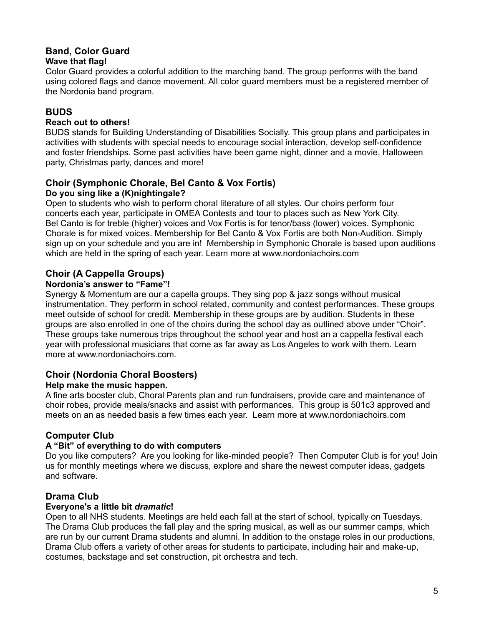## **Band, Color Guard**

#### **Wave that flag!**

Color Guard provides a colorful addition to the marching band. The group performs with the band using colored flags and dance movement. All color guard members must be a registered member of the Nordonia band program.

## **BUDS**

#### **Reach out to others!**

BUDS stands for Building Understanding of Disabilities Socially. This group plans and participates in activities with students with special needs to encourage social interaction, develop self-confidence and foster friendships. Some past activities have been game night, dinner and a movie, Halloween party, Christmas party, dances and more!

#### **Choir (Symphonic Chorale, Bel Canto & Vox Fortis) Do you sing like a (K)nightingale?**

Open to students who wish to perform choral literature of all styles. Our choirs perform four concerts each year, participate in OMEA Contests and tour to places such as New York City. Bel Canto is for treble (higher) voices and Vox Fortis is for tenor/bass (lower) voices. Symphonic Chorale is for mixed voices. Membership for Bel Canto & Vox Fortis are both Non-Audition. Simply sign up on your schedule and you are in! Membership in Symphonic Chorale is based upon auditions which are held in the spring of each year. Learn more at www.nordoniachoirs.com

## **Choir (A Cappella Groups)**

#### **Nordonia's answer to "Fame"!**

Synergy & Momentum are our a capella groups. They sing pop & jazz songs without musical instrumentation. They perform in school related, community and contest performances. These groups meet outside of school for credit. Membership in these groups are by audition. Students in these groups are also enrolled in one of the choirs during the school day as outlined above under "Choir". These groups take numerous trips throughout the school year and host an a cappella festival each year with professional musicians that come as far away as Los Angeles to work with them. Learn more at www.nordoniachoirs.com.

## **Choir (Nordonia Choral Boosters)**

#### **Help make the music happen.**

A fine arts booster club, Choral Parents plan and run fundraisers, provide care and maintenance of choir robes, provide meals/snacks and assist with performances. This group is 501c3 approved and meets on an as needed basis a few times each year. Learn more at www.nordoniachoirs.com

## **Computer Club**

#### **A "Bit" of everything to do with computers**

Do you like computers? Are you looking for like-minded people? Then Computer Club is for you! Join us for monthly meetings where we discuss, explore and share the newest computer ideas, gadgets and software.

#### **Drama Club**

#### **Everyone's a little bit** *dramatic***!**

Open to all NHS students. Meetings are held each fall at the start of school, typically on Tuesdays. The Drama Club produces the fall play and the spring musical, as well as our summer camps, which are run by our current Drama students and alumni. In addition to the onstage roles in our productions, Drama Club offers a variety of other areas for students to participate, including hair and make-up, costumes, backstage and set construction, pit orchestra and tech.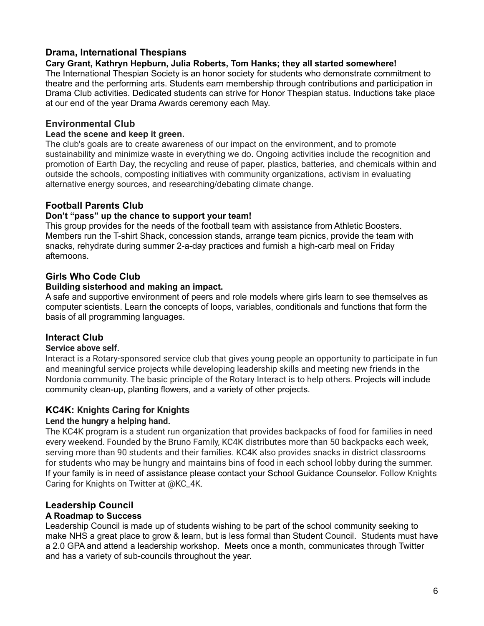#### **Drama, International Thespians**

#### **Cary Grant, Kathryn Hepburn, Julia Roberts, Tom Hanks; they all started somewhere!**

The International Thespian Society is an honor society for students who demonstrate commitment to theatre and the performing arts. Students earn membership through contributions and participation in Drama Club activities. Dedicated students can strive for Honor Thespian status. Inductions take place at our end of the year Drama Awards ceremony each May.

#### **Environmental Club**

#### **Lead the scene and keep it green.**

The club's goals are to create awareness of our impact on the environment, and to promote sustainability and minimize waste in everything we do. Ongoing activities include the recognition and promotion of Earth Day, the recycling and reuse of paper, plastics, batteries, and chemicals within and outside the schools, composting initiatives with community organizations, activism in evaluating alternative energy sources, and researching/debating climate change.

#### **Football Parents Club**

#### **Don't "pass" up the chance to support your team!**

This group provides for the needs of the football team with assistance from Athletic Boosters. Members run the T-shirt Shack, concession stands, arrange team picnics, provide the team with snacks, rehydrate during summer 2-a-day practices and furnish a high-carb meal on Friday afternoons.

#### **Girls Who Code Club**

#### **Building sisterhood and making an impact.**

A safe and supportive environment of peers and role models where girls learn to see themselves as computer scientists. Learn the concepts of loops, variables, conditionals and functions that form the basis of all programming languages.

#### **Interact Club**

#### **Service above self.**

Interact is a Rotary-sponsored service club that gives young people an opportunity to participate in fun and meaningful service projects while developing leadership skills and meeting new friends in the Nordonia community. The basic principle of the Rotary Interact is to help others. Projects will include community clean-up, planting flowers, and a variety of other projects.

#### **KC4K: Knights Caring for Knights**

#### **Lend the hungry a helping hand.**

The KC4K program is a student run organization that provides backpacks of food for families in need every weekend. Founded by the Bruno Family, KC4K distributes more than 50 backpacks each week, serving more than 90 students and their families. KC4K also provides snacks in district classrooms for students who may be hungry and maintains bins of food in each school lobby during the summer. If your family is in need of assistance please contact your School Guidance Counselor. Follow Knights Caring for Knights on Twitter at @KC\_4K.

#### **Leadership Council**

#### **A Roadmap to Success**

Leadership Council is made up of students wishing to be part of the school community seeking to make NHS a great place to grow & learn, but is less formal than Student Council. Students must have a 2.0 GPA and attend a leadership workshop. Meets once a month, communicates through Twitter and has a variety of sub-councils throughout the year.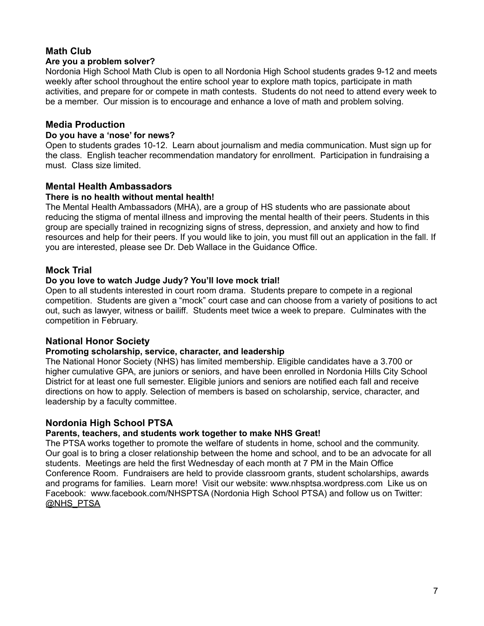## **Math Club**

#### **Are you a problem solver?**

Nordonia High School Math Club is open to all Nordonia High School students grades 9-12 and meets weekly after school throughout the entire school year to explore math topics, participate in math activities, and prepare for or compete in math contests. Students do not need to attend every week to be a member. Our mission is to encourage and enhance a love of math and problem solving.

#### **Media Production**

#### **Do you have a 'nose' for news?**

Open to students grades 10-12. Learn about journalism and media communication. Must sign up for the class. English teacher recommendation mandatory for enrollment. Participation in fundraising a must. Class size limited.

#### **Mental Health Ambassadors**

#### **There is no health without mental health!**

The Mental Health Ambassadors (MHA), are a group of HS students who are passionate about reducing the stigma of mental illness and improving the mental health of their peers. Students in this group are specially trained in recognizing signs of stress, depression, and anxiety and how to find resources and help for their peers. If you would like to join, you must fill out an application in the fall. If you are interested, please see Dr. Deb Wallace in the Guidance Office.

#### **Mock Trial**

#### **Do you love to watch Judge Judy? You'll love mock trial!**

Open to all students interested in court room drama. Students prepare to compete in a regional competition. Students are given a "mock" court case and can choose from a variety of positions to act out, such as lawyer, witness or bailiff. Students meet twice a week to prepare. Culminates with the competition in February.

#### **National Honor Society**

#### **Promoting scholarship, service, character, and leadership**

The National Honor Society (NHS) has limited membership. Eligible candidates have a 3.700 or higher cumulative GPA, are juniors or seniors, and have been enrolled in Nordonia Hills City School District for at least one full semester. Eligible juniors and seniors are notified each fall and receive directions on how to apply. Selection of members is based on scholarship, service, character, and leadership by a faculty committee.

#### **Nordonia High School PTSA**

#### **Parents, teachers, and students work together to make NHS Great!**

The PTSA works together to promote the welfare of students in home, school and the community. Our goal is to bring a closer relationship between the home and school, and to be an advocate for all students. Meetings are held the first Wednesday of each month at 7 PM in the Main Office Conference Room. Fundraisers are held to provide classroom grants, student scholarships, awards and programs for families. Learn more! Visit our website: www.nhsptsa.wordpress.com Like us on Facebook: www.facebook.com/NHSPTSA (Nordonia High School PTSA) and follow us on Twitter: [@NHS\\_PTSA](https://twitter.com/NHS_PTSA)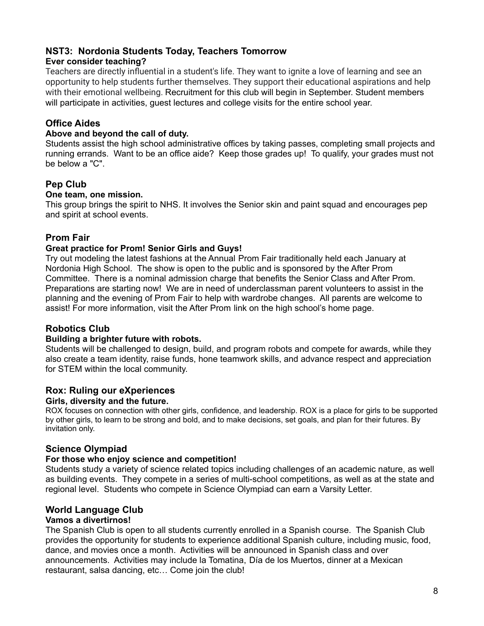## **NST3: Nordonia Students Today, Teachers Tomorrow**

#### **Ever consider teaching?**

Teachers are directly influential in a student's life. They want to ignite a love of learning and see an opportunity to help students further themselves. They support their educational aspirations and help with their emotional wellbeing. Recruitment for this club will begin in September. Student members will participate in activities, guest lectures and college visits for the entire school year.

## **Office Aides**

#### **Above and beyond the call of duty.**

Students assist the high school administrative offices by taking passes, completing small projects and running errands. Want to be an office aide? Keep those grades up! To qualify, your grades must not be below a "C".

## **Pep Club**

#### **One team, one mission.**

This group brings the spirit to NHS. It involves the Senior skin and paint squad and encourages pep and spirit at school events.

#### **Prom Fair**

#### **Great practice for Prom! Senior Girls and Guys!**

Try out modeling the latest fashions at the Annual Prom Fair traditionally held each January at Nordonia High School. The show is open to the public and is sponsored by the After Prom Committee. There is a nominal admission charge that benefits the Senior Class and After Prom. Preparations are starting now! We are in need of underclassman parent volunteers to assist in the planning and the evening of Prom Fair to help with wardrobe changes. All parents are welcome to assist! For more information, visit the After Prom link on the high school's home page.

#### **Robotics Club**

#### **Building a brighter future with robots.**

Students will be challenged to design, build, and program robots and compete for awards, while they also create a team identity, raise funds, hone teamwork skills, and advance respect and appreciation for STEM within the local community.

#### **Rox: Ruling our eXperiences**

#### **Girls, diversity and the future.**

ROX focuses on connection with other girls, confidence, and leadership. ROX is a place for girls to be supported by other girls, to learn to be strong and bold, and to make decisions, set goals, and plan for their futures. By invitation only.

#### **Science Olympiad**

#### **For those who enjoy science and competition!**

Students study a variety of science related topics including challenges of an academic nature, as well as building events. They compete in a series of multi-school competitions, as well as at the state and regional level. Students who compete in Science Olympiad can earn a Varsity Letter.

#### **World Language Club**

#### **Vamos a divertirnos!**

The Spanish Club is open to all students currently enrolled in a Spanish course. The Spanish Club provides the opportunity for students to experience additional Spanish culture, including music, food, dance, and movies once a month. Activities will be announced in Spanish class and over announcements. Activities may include la Tomatina, Día de los Muertos, dinner at a Mexican restaurant, salsa dancing, etc… Come join the club!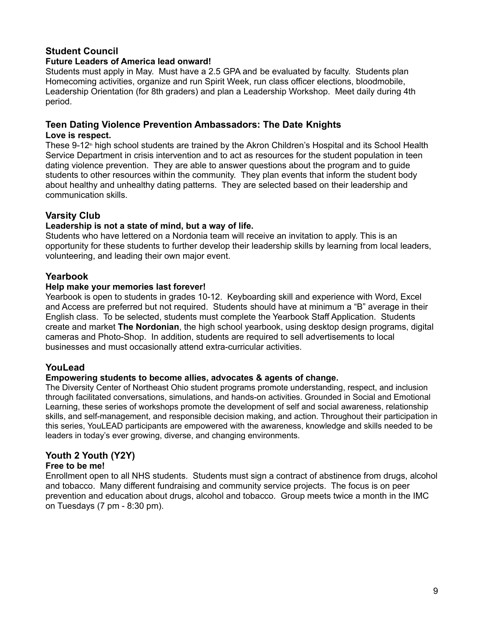## **Student Council**

#### **Future Leaders of America lead onward!**

Students must apply in May. Must have a 2.5 GPA and be evaluated by faculty. Students plan Homecoming activities, organize and run Spirit Week, run class officer elections, bloodmobile, Leadership Orientation (for 8th graders) and plan a Leadership Workshop. Meet daily during 4th period.

#### **Teen Dating Violence Prevention Ambassadors: The Date Knights**

#### **Love is respect.**

These  $9-12<sup>n</sup>$  high school students are trained by the Akron Children's Hospital and its School Health Service Department in crisis intervention and to act as resources for the student population in teen dating violence prevention. They are able to answer questions about the program and to guide students to other resources within the community. They plan events that inform the student body about healthy and unhealthy dating patterns. They are selected based on their leadership and communication skills.

#### **Varsity Club**

#### **Leadership is not a state of mind, but a way of life.**

Students who have lettered on a Nordonia team will receive an invitation to apply. This is an opportunity for these students to further develop their leadership skills by learning from local leaders, volunteering, and leading their own major event.

#### **Yearbook**

#### **Help make your memories last forever!**

Yearbook is open to students in grades 10-12. Keyboarding skill and experience with Word, Excel and Access are preferred but not required. Students should have at minimum a "B" average in their English class. To be selected, students must complete the Yearbook Staff Application. Students create and market **The Nordonian**, the high school yearbook, using desktop design programs, digital cameras and Photo-Shop. In addition, students are required to sell advertisements to local businesses and must occasionally attend extra-curricular activities.

#### **YouLead**

#### **Empowering students to become allies, advocates & agents of change.**

The Diversity Center of Northeast Ohio student programs promote understanding, respect, and inclusion through facilitated conversations, simulations, and hands-on activities. Grounded in Social and Emotional Learning, these series of workshops promote the development of self and social awareness, relationship skills, and self-management, and responsible decision making, and action. Throughout their participation in this series, YouLEAD participants are empowered with the awareness, knowledge and skills needed to be leaders in today's ever growing, diverse, and changing environments.

## **Youth 2 Youth (Y2Y)**

#### **Free to be me!**

Enrollment open to all NHS students. Students must sign a contract of abstinence from drugs, alcohol and tobacco. Many different fundraising and community service projects. The focus is on peer prevention and education about drugs, alcohol and tobacco. Group meets twice a month in the IMC on Tuesdays (7 pm - 8:30 pm).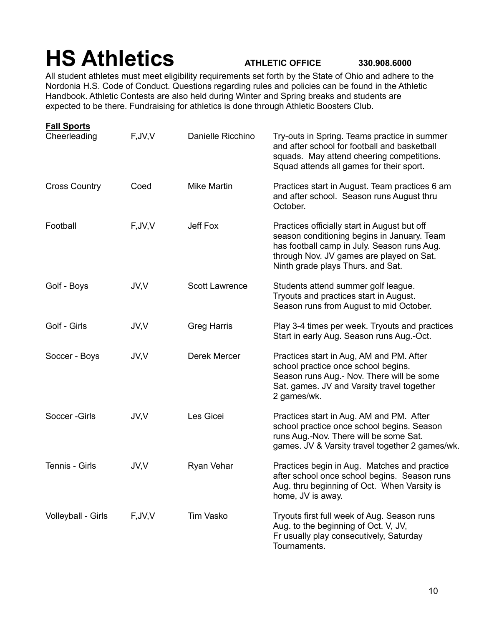# **HS Athletics ATHLETIC OFFICE 330.908.6000**

All student athletes must meet eligibility requirements set forth by the State of Ohio and adhere to the Nordonia H.S. Code of Conduct. Questions regarding rules and policies can be found in the Athletic Handbook. Athletic Contests are also held during Winter and Spring breaks and students are expected to be there. Fundraising for athletics is done through Athletic Boosters Club.

| <b>Fall Sports</b>   |          |                       |                                                                                                                                                                                                                             |
|----------------------|----------|-----------------------|-----------------------------------------------------------------------------------------------------------------------------------------------------------------------------------------------------------------------------|
| Cheerleading         | F, JV, V | Danielle Ricchino     | Try-outs in Spring. Teams practice in summer<br>and after school for football and basketball<br>squads. May attend cheering competitions.<br>Squad attends all games for their sport.                                       |
| <b>Cross Country</b> | Coed     | Mike Martin           | Practices start in August. Team practices 6 am<br>and after school. Season runs August thru<br>October.                                                                                                                     |
| Football             | F, JV, V | Jeff Fox              | Practices officially start in August but off<br>season conditioning begins in January. Team<br>has football camp in July. Season runs Aug.<br>through Nov. JV games are played on Sat.<br>Ninth grade plays Thurs. and Sat. |
| Golf - Boys          | JV,V     | <b>Scott Lawrence</b> | Students attend summer golf league.<br>Tryouts and practices start in August.<br>Season runs from August to mid October.                                                                                                    |
| Golf - Girls         | JV,V     | <b>Greg Harris</b>    | Play 3-4 times per week. Tryouts and practices<br>Start in early Aug. Season runs Aug.-Oct.                                                                                                                                 |
| Soccer - Boys        | JV,V     | Derek Mercer          | Practices start in Aug, AM and PM. After<br>school practice once school begins.<br>Season runs Aug.- Nov. There will be some<br>Sat. games. JV and Varsity travel together<br>2 games/wk.                                   |
| Soccer-Girls         | JV,V     | Les Gicei             | Practices start in Aug. AM and PM. After<br>school practice once school begins. Season<br>runs Aug.-Nov. There will be some Sat.<br>games. JV & Varsity travel together 2 games/wk.                                         |
| Tennis - Girls       | JV,V     | Ryan Vehar            | Practices begin in Aug. Matches and practice<br>after school once school begins. Season runs<br>Aug. thru beginning of Oct. When Varsity is<br>home, JV is away.                                                            |
| Volleyball - Girls   | F, JV, V | Tim Vasko             | Tryouts first full week of Aug. Season runs<br>Aug. to the beginning of Oct. V, JV,<br>Fr usually play consecutively, Saturday<br>Tournaments.                                                                              |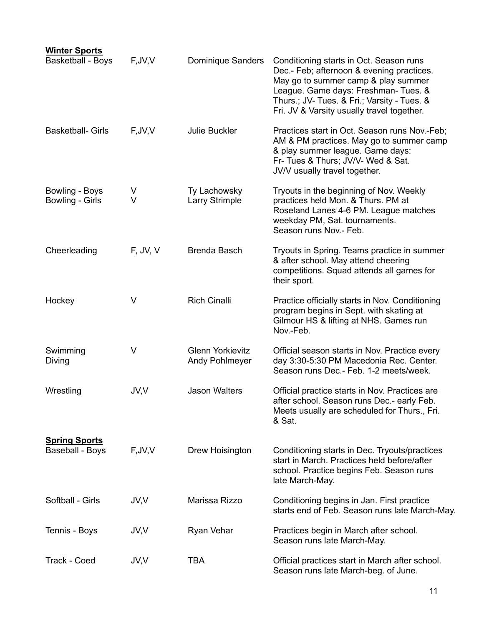| <b>Winter Sports</b><br><b>Basketball - Boys</b> | F, JV, V | Dominique Sanders                         | Conditioning starts in Oct. Season runs<br>Dec.- Feb; afternoon & evening practices.<br>May go to summer camp & play summer<br>League. Game days: Freshman- Tues. &<br>Thurs.; JV- Tues. & Fri.; Varsity - Tues. &<br>Fri. JV & Varsity usually travel together. |
|--------------------------------------------------|----------|-------------------------------------------|------------------------------------------------------------------------------------------------------------------------------------------------------------------------------------------------------------------------------------------------------------------|
| <b>Basketball- Girls</b>                         | F, JV, V | Julie Buckler                             | Practices start in Oct. Season runs Nov.-Feb;<br>AM & PM practices. May go to summer camp<br>& play summer league. Game days:<br>Fr- Tues & Thurs; JV/V- Wed & Sat.<br>JV/V usually travel together.                                                             |
| Bowling - Boys<br>Bowling - Girls                | ٧<br>V   | Ty Lachowsky<br><b>Larry Strimple</b>     | Tryouts in the beginning of Nov. Weekly<br>practices held Mon. & Thurs. PM at<br>Roseland Lanes 4-6 PM. League matches<br>weekday PM, Sat. tournaments.<br>Season runs Nov.- Feb.                                                                                |
| Cheerleading                                     | F, JV, V | Brenda Basch                              | Tryouts in Spring. Teams practice in summer<br>& after school. May attend cheering<br>competitions. Squad attends all games for<br>their sport.                                                                                                                  |
| Hockey                                           | V        | <b>Rich Cinalli</b>                       | Practice officially starts in Nov. Conditioning<br>program begins in Sept. with skating at<br>Gilmour HS & lifting at NHS. Games run<br>Nov.-Feb.                                                                                                                |
| Swimming<br>Diving                               | V        | <b>Glenn Yorkievitz</b><br>Andy Pohlmeyer | Official season starts in Nov. Practice every<br>day 3:30-5:30 PM Macedonia Rec. Center.<br>Season runs Dec.- Feb. 1-2 meets/week.                                                                                                                               |
| Wrestling                                        | JV,V     | <b>Jason Walters</b>                      | Official practice starts in Nov. Practices are<br>after school. Season runs Dec.- early Feb.<br>Meets usually are scheduled for Thurs., Fri.<br>& Sat.                                                                                                           |
| <b>Spring Sports</b><br><b>Baseball - Boys</b>   | F, JV, V | Drew Hoisington                           | Conditioning starts in Dec. Tryouts/practices<br>start in March. Practices held before/after<br>school. Practice begins Feb. Season runs<br>late March-May.                                                                                                      |
| Softball - Girls                                 | JV,V     | Marissa Rizzo                             | Conditioning begins in Jan. First practice<br>starts end of Feb. Season runs late March-May.                                                                                                                                                                     |
| Tennis - Boys                                    | JV,V     | Ryan Vehar                                | Practices begin in March after school.<br>Season runs late March-May.                                                                                                                                                                                            |
| Track - Coed                                     | JV,V     | <b>TBA</b>                                | Official practices start in March after school.<br>Season runs late March-beg. of June.                                                                                                                                                                          |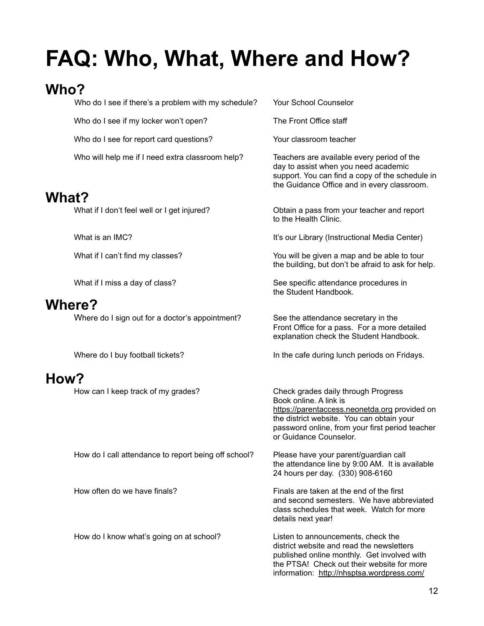# **FAQ: Who, What, Where and How?**

## **Who?**

|              | Who do I see if there's a problem with my schedule?  | Your School Counselor                                                                                                                                                                                                                    |
|--------------|------------------------------------------------------|------------------------------------------------------------------------------------------------------------------------------------------------------------------------------------------------------------------------------------------|
|              | Who do I see if my locker won't open?                | The Front Office staff                                                                                                                                                                                                                   |
|              | Who do I see for report card questions?              | Your classroom teacher                                                                                                                                                                                                                   |
|              | Who will help me if I need extra classroom help?     | Teachers are available every period of the<br>day to assist when you need academic<br>support. You can find a copy of the schedule in<br>the Guidance Office and in every classroom.                                                     |
| <b>What?</b> |                                                      |                                                                                                                                                                                                                                          |
|              | What if I don't feel well or I get injured?          | Obtain a pass from your teacher and report<br>to the Health Clinic.                                                                                                                                                                      |
|              | What is an IMC?                                      | It's our Library (Instructional Media Center)                                                                                                                                                                                            |
|              | What if I can't find my classes?                     | You will be given a map and be able to tour<br>the building, but don't be afraid to ask for help.                                                                                                                                        |
|              | What if I miss a day of class?                       | See specific attendance procedures in<br>the Student Handbook.                                                                                                                                                                           |
|              | <b>Where?</b>                                        |                                                                                                                                                                                                                                          |
|              | Where do I sign out for a doctor's appointment?      | See the attendance secretary in the<br>Front Office for a pass. For a more detailed<br>explanation check the Student Handbook.                                                                                                           |
|              | Where do I buy football tickets?                     | In the cafe during lunch periods on Fridays.                                                                                                                                                                                             |
| How?         |                                                      |                                                                                                                                                                                                                                          |
|              | How can I keep track of my grades?                   | Check grades daily through Progress<br>Book online. A link is<br>https://parentaccess.neonetda.org provided on<br>the district website. You can obtain your<br>password online, from your first period teacher<br>or Guidance Counselor. |
|              | How do I call attendance to report being off school? | Please have your parent/guardian call<br>the attendance line by 9:00 AM. It is available<br>24 hours per day. (330) 908-6160                                                                                                             |
|              | How often do we have finals?                         | Finals are taken at the end of the first<br>and second semesters. We have abbreviated<br>class schedules that week. Watch for more<br>details next year!                                                                                 |
|              | How do I know what's going on at school?             | Listen to announcements, check the<br>district website and read the newsletters<br>published online monthly. Get involved with<br>the PTSA! Check out their website for more<br>information: http://nhsptsa.wordpress.com/               |